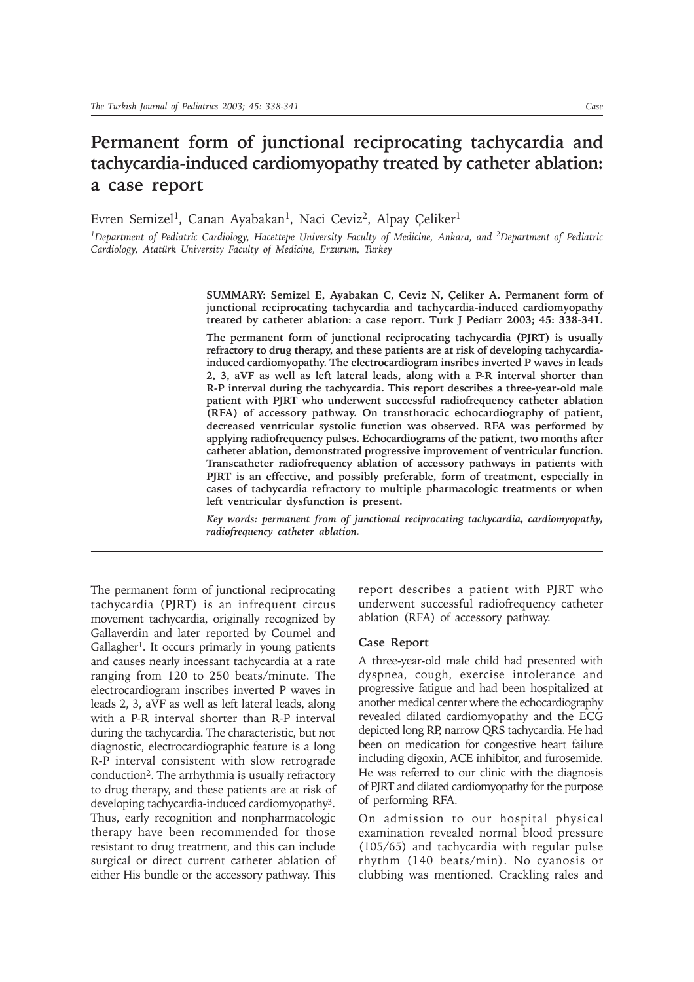# **Permanent form of junctional reciprocating tachycardia and tachycardia-induced cardiomyopathy treated by catheter ablation: a case report**

Evren Semizel<sup>1</sup>, Canan Ayabakan<sup>1</sup>, Naci Ceviz<sup>2</sup>, Alpay Çeliker<sup>1</sup>

*1Department of Pediatric Cardiology, Hacettepe University Faculty of Medicine, Ankara, and 2Department of Pediatric Cardiology, Atatürk University Faculty of Medicine, Erzurum, Turkey*

> **SUMMARY: Semizel E, Ayabakan C, Ceviz N, Çeliker A. Permanent form of junctional reciprocating tachycardia and tachycardia-induced cardiomyopathy treated by catheter ablation: a case report. Turk J Pediatr 2003; 45: 338-341.**

> **The permanent form of junctional reciprocating tachycardia (PJRT) is usually refractory to drug therapy, and these patients are at risk of developing tachycardiainduced cardiomyopathy. The electrocardiogram insribes inverted P waves in leads 2, 3, aVF as well as left lateral leads, along with a P-R interval shorter than R-P interval during the tachycardia. This report describes a three-year-old male patient with PJRT who underwent successful radiofrequency catheter ablation (RFA) of accessory pathway. On transthoracic echocardiography of patient, decreased ventricular systolic function was observed. RFA was performed by applying radiofrequency pulses. Echocardiograms of the patient, two months after catheter ablation, demonstrated progressive improvement of ventricular function. Transcatheter radiofrequency ablation of accessory pathways in patients with PJRT is an effective, and possibly preferable, form of treatment, especially in cases of tachycardia refractory to multiple pharmacologic treatments or when left ventricular dysfunction is present.**

> *Key words: permanent from of junctional reciprocating tachycardia, cardiomyopathy, radiofrequency catheter ablation.*

The permanent form of junctional reciprocating tachycardia (PJRT) is an infrequent circus movement tachycardia, originally recognized by Gallaverdin and later reported by Coumel and Gallagher<sup>1</sup>. It occurs primarly in young patients and causes nearly incessant tachycardia at a rate ranging from 120 to 250 beats/minute. The electrocardiogram inscribes inverted P waves in leads 2, 3, aVF as well as left lateral leads, along with a P-R interval shorter than R-P interval during the tachycardia. The characteristic, but not diagnostic, electrocardiographic feature is a long R-P interval consistent with slow retrograde conduction2. The arrhythmia is usually refractory to drug therapy, and these patients are at risk of developing tachycardia-induced cardiomyopathy3. Thus, early recognition and nonpharmacologic therapy have been recommended for those resistant to drug treatment, and this can include surgical or direct current catheter ablation of either His bundle or the accessory pathway. This report describes a patient with PJRT who underwent successful radiofrequency catheter ablation (RFA) of accessory pathway.

### **Case Report**

A three-year-old male child had presented with dyspnea, cough, exercise intolerance and progressive fatigue and had been hospitalized at another medical center where the echocardiography revealed dilated cardiomyopathy and the ECG depicted long RP, narrow QRS tachycardia. He had been on medication for congestive heart failure including digoxin, ACE inhibitor, and furosemide. He was referred to our clinic with the diagnosis of PJRT and dilated cardiomyopathy for the purpose of performing RFA.

On admission to our hospital physical examination revealed normal blood pressure (105/65) and tachycardia with regular pulse rhythm (140 beats/min). No cyanosis or clubbing was mentioned. Crackling rales and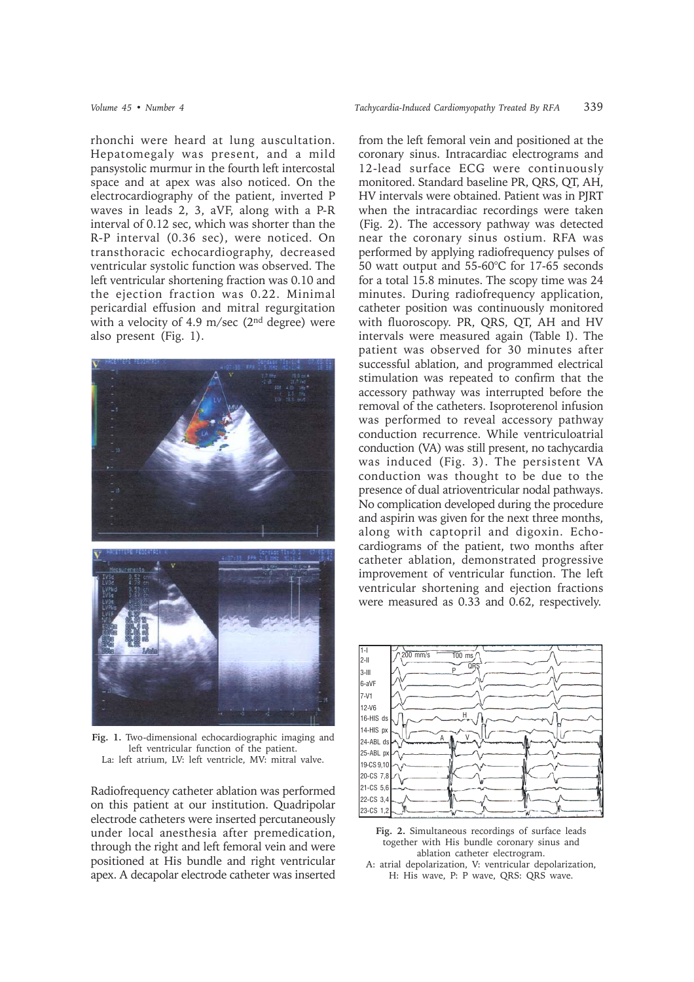rhonchi were heard at lung auscultation. Hepatomegaly was present, and a mild pansystolic murmur in the fourth left intercostal space and at apex was also noticed. On the electrocardiography of the patient, inverted P waves in leads 2, 3, aVF, along with a P-R interval of 0.12 sec, which was shorter than the R-P interval (0.36 sec), were noticed. On transthoracic echocardiography, decreased ventricular systolic function was observed. The left ventricular shortening fraction was 0.10 and the ejection fraction was 0.22. Minimal pericardial effusion and mitral regurgitation with a velocity of 4.9 m/sec  $(2<sup>nd</sup>$  degree) were also present (Fig. 1).



**Fig. 1.** Two-dimensional echocardiographic imaging and left ventricular function of the patient. La: left atrium, LV: left ventricle, MV: mitral valve.

Radiofrequency catheter ablation was performed on this patient at our institution. Quadripolar electrode catheters were inserted percutaneously under local anesthesia after premedication, through the right and left femoral vein and were positioned at His bundle and right ventricular apex. A decapolar electrode catheter was inserted

from the left femoral vein and positioned at the coronary sinus. Intracardiac electrograms and 12-lead surface ECG were continuously monitored. Standard baseline PR, QRS, QT, AH, HV intervals were obtained. Patient was in PJRT when the intracardiac recordings were taken (Fig. 2). The accessory pathway was detected near the coronary sinus ostium. RFA was performed by applying radiofrequency pulses of 50 watt output and 55-60°C for 17-65 seconds for a total 15.8 minutes. The scopy time was 24 minutes. During radiofrequency application, catheter position was continuously monitored with fluoroscopy. PR, QRS, QT, AH and HV intervals were measured again (Table I). The patient was observed for 30 minutes after successful ablation, and programmed electrical stimulation was repeated to confirm that the accessory pathway was interrupted before the removal of the catheters. Isoproterenol infusion was performed to reveal accessory pathway conduction recurrence. While ventriculoatrial conduction (VA) was still present, no tachycardia was induced (Fig. 3). The persistent VA conduction was thought to be due to the presence of dual atrioventricular nodal pathways. No complication developed during the procedure and aspirin was given for the next three months, along with captopril and digoxin. Echocardiograms of the patient, two months after catheter ablation, demonstrated progressive improvement of ventricular function. The left ventricular shortening and ejection fractions were measured as 0.33 and 0.62, respectively.



**Fig. 2.** Simultaneous recordings of surface leads together with His bundle coronary sinus and ablation catheter electrogram.

A: atrial depolarization, V: ventricular depolarization, H: His wave, P: P wave, QRS: QRS wave.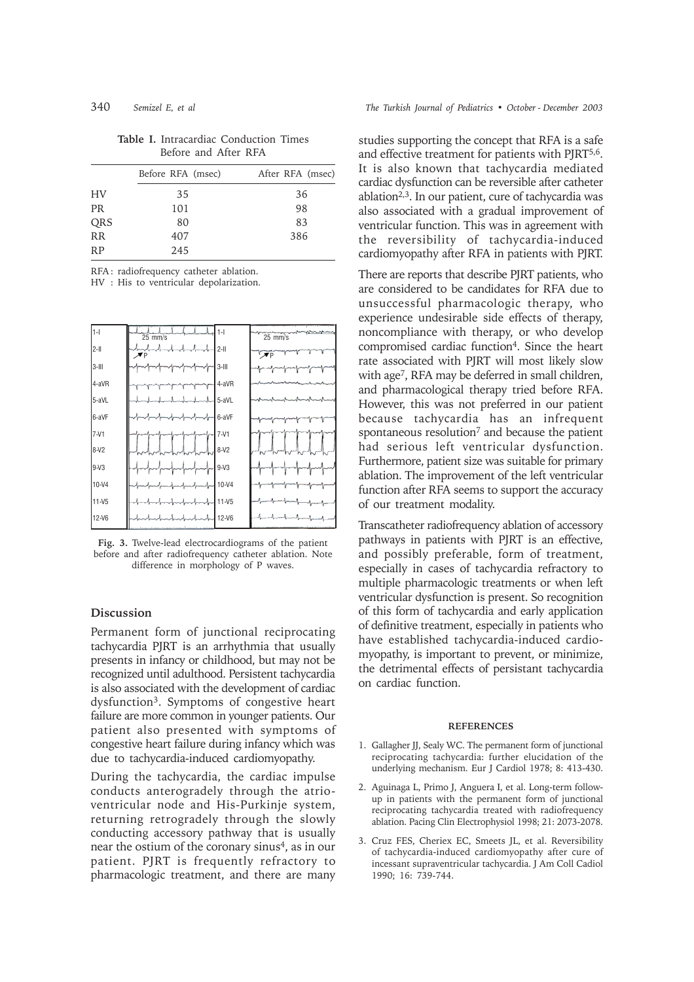|           | Before RFA (msec) | After RFA (msec) |
|-----------|-------------------|------------------|
| HV        | 35                | 36               |
| <b>PR</b> | 101               | 98               |
| QRS       | 80                | 83               |
| <b>RR</b> | 407               | 386              |
| RP        | 245               |                  |
|           |                   |                  |

**Table I.** Intracardiac Conduction Times Before and After RFA

RFA: radiofrequency catheter ablation.

HV : His to ventricular depolarization.



**Fig. 3.** Twelve-lead electrocardiograms of the patient before and after radiofrequency catheter ablation. Note difference in morphology of P waves.

# **Discussion**

Permanent form of junctional reciprocating tachycardia PJRT is an arrhythmia that usually presents in infancy or childhood, but may not be recognized until adulthood. Persistent tachycardia is also associated with the development of cardiac dysfunction3. Symptoms of congestive heart failure are more common in younger patients. Our patient also presented with symptoms of congestive heart failure during infancy which was due to tachycardia-induced cardiomyopathy.

During the tachycardia, the cardiac impulse conducts anterogradely through the atrioventricular node and His-Purkinje system, returning retrogradely through the slowly conducting accessory pathway that is usually near the ostium of the coronary sinus<sup>4</sup>, as in our patient. PJRT is frequently refractory to pharmacologic treatment, and there are many

studies supporting the concept that RFA is a safe and effective treatment for patients with PJRT<sup>5,6</sup>. It is also known that tachycardia mediated cardiac dysfunction can be reversible after catheter ablation2,3. In our patient, cure of tachycardia was also associated with a gradual improvement of ventricular function. This was in agreement with the reversibility of tachycardia-induced cardiomyopathy after RFA in patients with PJRT.

There are reports that describe PJRT patients, who are considered to be candidates for RFA due to unsuccessful pharmacologic therapy, who experience undesirable side effects of therapy, noncompliance with therapy, or who develop compromised cardiac function<sup>4</sup>. Since the heart rate associated with PJRT will most likely slow with age7, RFA may be deferred in small children, and pharmacological therapy tried before RFA. However, this was not preferred in our patient because tachycardia has an infrequent spontaneous resolution<sup>7</sup> and because the patient had serious left ventricular dysfunction. Furthermore, patient size was suitable for primary ablation. The improvement of the left ventricular function after RFA seems to support the accuracy of our treatment modality.

Transcatheter radiofrequency ablation of accessory pathways in patients with PJRT is an effective, and possibly preferable, form of treatment, especially in cases of tachycardia refractory to multiple pharmacologic treatments or when left ventricular dysfunction is present. So recognition of this form of tachycardia and early application of definitive treatment, especially in patients who have established tachycardia-induced cardiomyopathy, is important to prevent, or minimize, the detrimental effects of persistant tachycardia on cardiac function.

## **REFERENCES**

- 1. Gallagher JJ, Sealy WC. The permanent form of junctional reciprocating tachycardia: further elucidation of the underlying mechanism. Eur J Cardiol 1978; 8: 413-430.
- 2. Aguinaga L, Primo J, Anguera I, et al. Long-term followup in patients with the permanent form of junctional reciprocating tachycardia treated with radiofrequency ablation. Pacing Clin Electrophysiol 1998; 21: 2073-2078.
- 3. Cruz FES, Cheriex EC, Smeets JL, et al. Reversibility of tachycardia-induced cardiomyopathy after cure of incessant supraventricular tachycardia. J Am Coll Cadiol 1990; 16: 739-744.